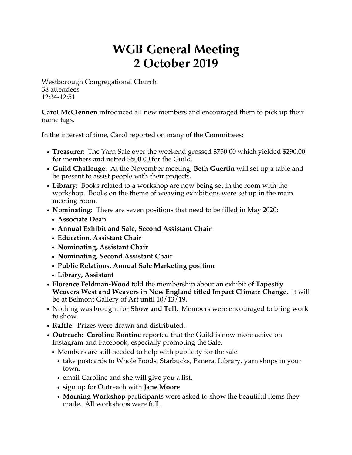## **WGB General Meeting 2 October 2019**

Westborough Congregational Church 58 attendees 12:34-12:51

**Carol McClennen** introduced all new members and encouraged them to pick up their name tags.

In the interest of time, Carol reported on many of the Committees:

- **Treasurer**: The Yarn Sale over the weekend grossed \$750.00 which yielded \$290.00 for members and netted \$500.00 for the Guild.
- **Guild Challenge**: At the November meeting, **Beth Guertin** will set up a table and be present to assist people with their projects.
- **Library**: Books related to a workshop are now being set in the room with the workshop. Books on the theme of weaving exhibitions were set up in the main meeting room.
- **Nominating**: There are seven positions that need to be filled in May 2020:
	- **Associate Dean**
	- **Annual Exhibit and Sale, Second Assistant Chair**
	- **Education, Assistant Chair**
	- **Nominating, Assistant Chair**
	- **Nominating, Second Assistant Chair**
	- **Public Relations, Annual Sale Marketing position**
	- **Library, Assistant**
- **Florence Feldman-Wood** told the membership about an exhibit of **Tapestry Weavers West and Weavers in New England titled Impact Climate Change**. It will be at Belmont Gallery of Art until 10/13/19.
- Nothing was brought for **Show and Tell**. Members were encouraged to bring work to show.
- **Raffle**: Prizes were drawn and distributed.
- **Outreach**: **Caroline Rontine** reported that the Guild is now more active on Instagram and Facebook, especially promoting the Sale.
	- Members are still needed to help with publicity for the sale
		- take postcards to Whole Foods, Starbucks, Panera, Library, yarn shops in your town.
		- email Caroline and she will give you a list.
		- sign up for Outreach with **Jane Moore**
		- **Morning Workshop** participants were asked to show the beautiful items they made. All workshops were full.